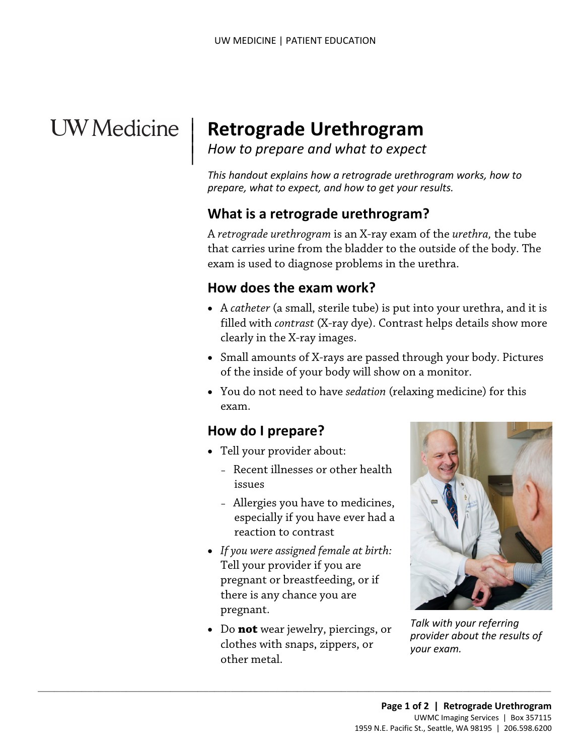# UW Medicine

# <sup>|</sup>**Retrograde Urethrogram** | *How to prepare and what to expect* <sup>|</sup>

*This handout explains how a retrograde urethrogram works, how to prepare, what to expect, and how to get your results.* 

#### **What is a retrograde urethrogram?**

A *retrograde urethrogram* is an [X-ray](javascript:glossAry() exam of the *urethra,* the tube that carries urine from the bladder to the outside of the body. The exam is used to diagnose problems in the urethra.

#### **How does the exam work?**

- A *[catheter](javascript:glossAry()* (a small, sterile tube) is put into your [urethra,](javascript:glossAry() and it is filled with *[contrast](javascript:glossAry()* (X-ray dye). Contrast helps details show more clearly in the X-ray images.
- Small amounts of X-rays are passed through your body. Pictures of the inside of your body will show on a monitor.
- You do not need to have *sedation* (relaxing medicine) for this exam.

#### **How do I prepare?**

- Tell your provider about:
	- Recent illnesses or other health issues
	- Allergies you have to medicines, especially if you have ever had a reaction to contrast
- *If you were assigned female at birth:*  Tell your provider if you are pregnant or breastfeeding, or if there is any chance you are pregnant.
- Do **not** wear jewelry, piercings, or clothes with snaps, zippers, or other metal.

 $\_$  ,  $\_$  ,  $\_$  ,  $\_$  ,  $\_$  ,  $\_$  ,  $\_$  ,  $\_$  ,  $\_$  ,  $\_$  ,  $\_$  ,  $\_$  ,  $\_$  ,  $\_$  ,  $\_$  ,  $\_$  ,  $\_$  ,  $\_$  ,  $\_$  ,  $\_$  ,  $\_$  ,  $\_$  ,  $\_$  ,  $\_$  ,  $\_$  ,  $\_$  ,  $\_$  ,  $\_$  ,  $\_$  ,  $\_$  ,  $\_$  ,  $\_$  ,  $\_$  ,  $\_$  ,  $\_$  ,  $\_$  ,  $\_$  ,



*Talk with your referring provider about the results of your exam.*